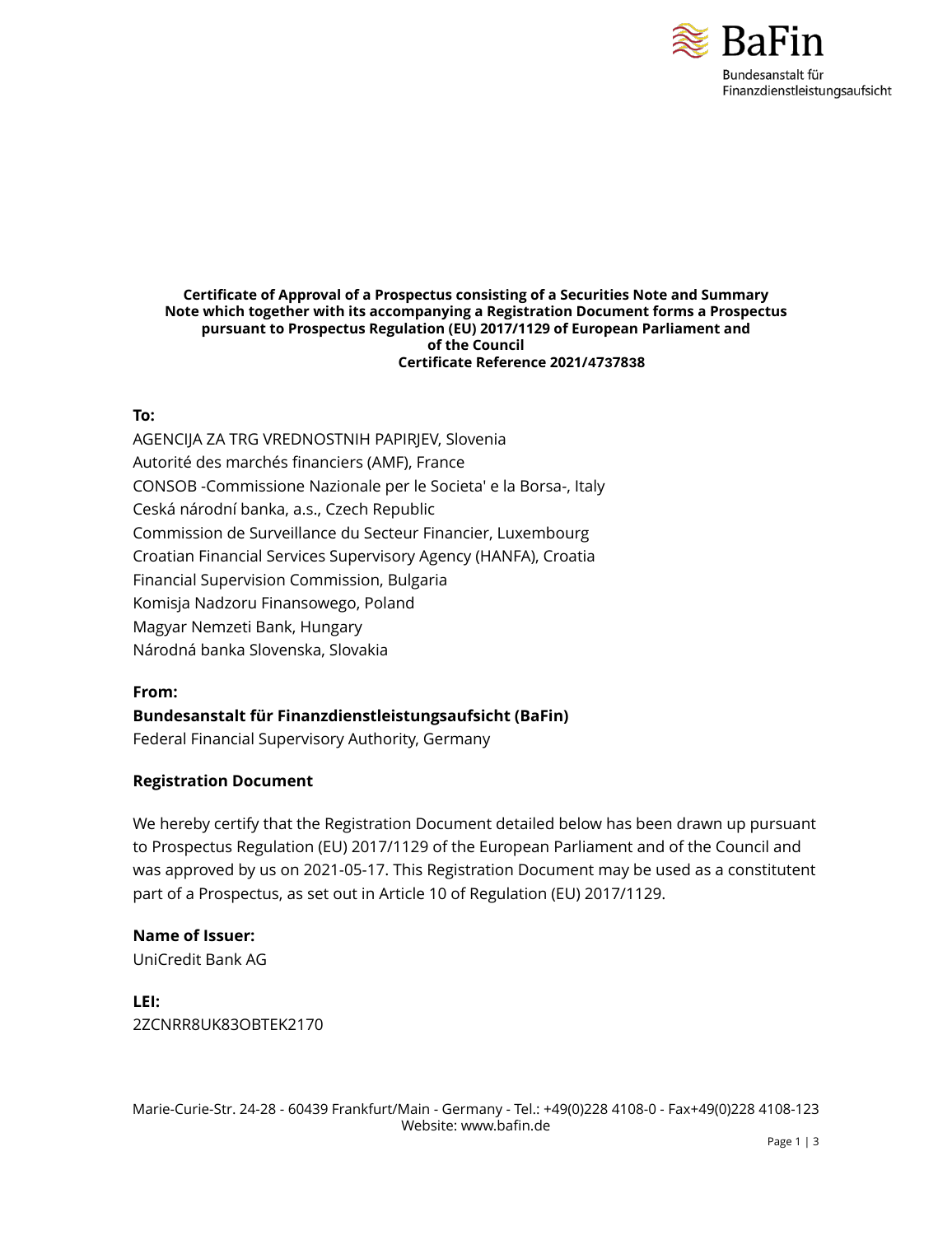

#### **Certificate of Approval of a Prospectus consisting of a Securities Note and Summary Note which together with its accompanying a Registration Document forms a Prospectus pursuant to Prospectus Regulation (EU) 2017/1129 of European Parliament and of the Council Certificate Reference 2021/4737838**

### **To:**

AGENCIJA ZA TRG VREDNOSTNIH PAPIRJEV, Slovenia Autorité des marchés financiers (AMF), France CONSOB -Commissione Nazionale per le Societa' e la Borsa-, Italy Ceská národní banka, a.s., Czech Republic Commission de Surveillance du Secteur Financier, Luxembourg Croatian Financial Services Supervisory Agency (HANFA), Croatia Financial Supervision Commission, Bulgaria Komisja Nadzoru Finansowego, Poland Magyar Nemzeti Bank, Hungary Národná banka Slovenska, Slovakia

### **From:**

**Bundesanstalt für Finanzdienstleistungsaufsicht (BaFin)**

Federal Financial Supervisory Authority, Germany

### **Registration Document**

We hereby certify that the Registration Document detailed below has been drawn up pursuant to Prospectus Regulation (EU) 2017/1129 of the European Parliament and of the Council and was approved by us on 2021-05-17. This Registration Document may be used as a constitutent part of a Prospectus, as set out in Article 10 of Regulation (EU) 2017/1129.

### **Name of Issuer:**

UniCredit Bank AG

**LEI:** 2ZCNRR8UK83OBTEK2170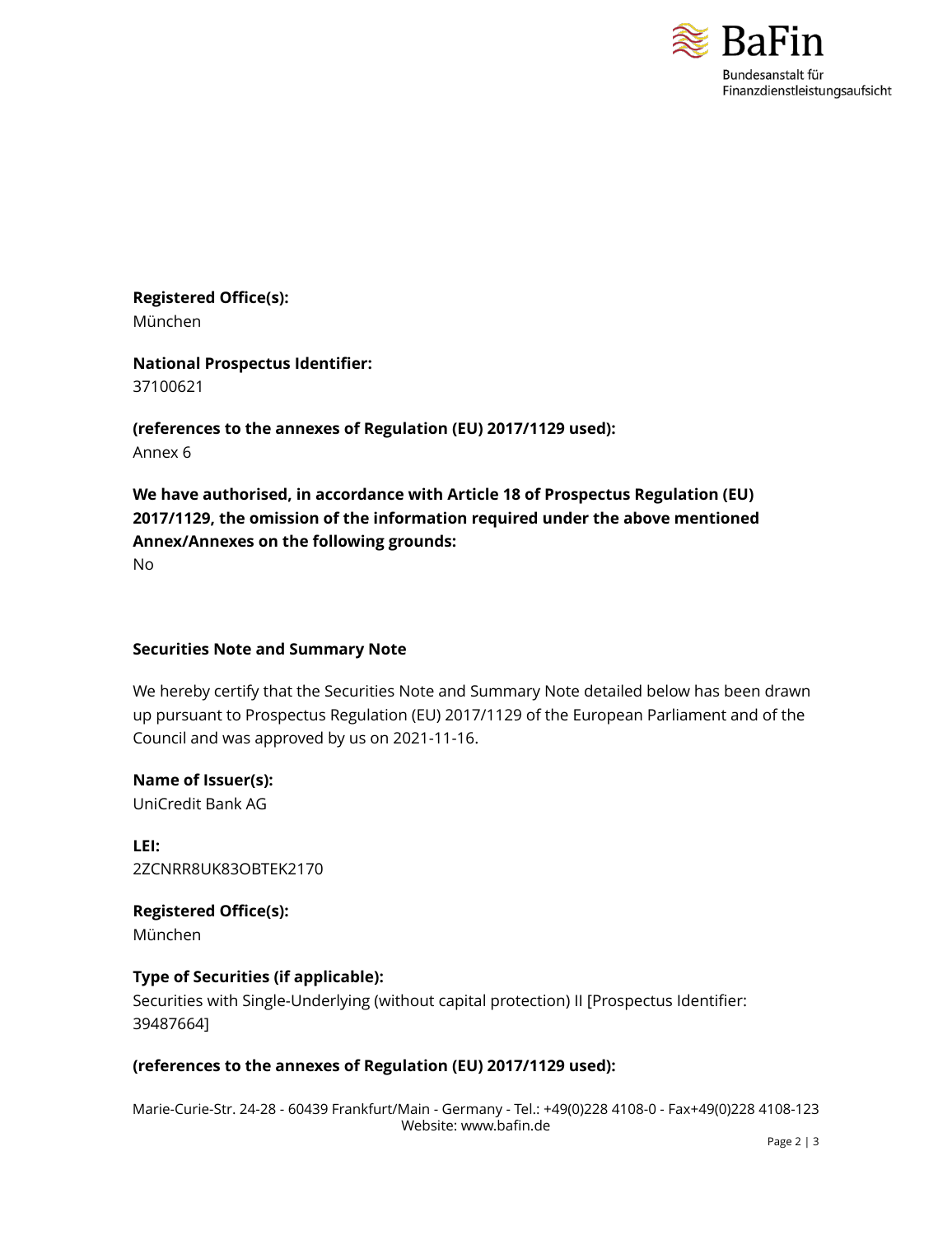

**Registered Office(s):** München

**National Prospectus Identifier:** 37100621

**(references to the annexes of Regulation (EU) 2017/1129 used):** Annex 6

**We have authorised, in accordance with Article 18 of Prospectus Regulation (EU) 2017/1129, the omission of the information required under the above mentioned Annex/Annexes on the following grounds:**

No

#### **Securities Note and Summary Note**

We hereby certify that the Securities Note and Summary Note detailed below has been drawn up pursuant to Prospectus Regulation (EU) 2017/1129 of the European Parliament and of the Council and was approved by us on 2021-11-16.

**Name of Issuer(s):** UniCredit Bank AG

**LEI:** 2ZCNRR8UK83OBTEK2170

**Registered Office(s):** München

### **Type of Securities (if applicable):**

Securities with Single-Underlying (without capital protection) II [Prospectus Identifier: 39487664]

### **(references to the annexes of Regulation (EU) 2017/1129 used):**

Marie-Curie-Str. 24-28 - 60439 Frankfurt/Main - Germany - Tel.: +49(0)228 4108-0 - Fax+49(0)228 4108-123 Website: www.bafin.de